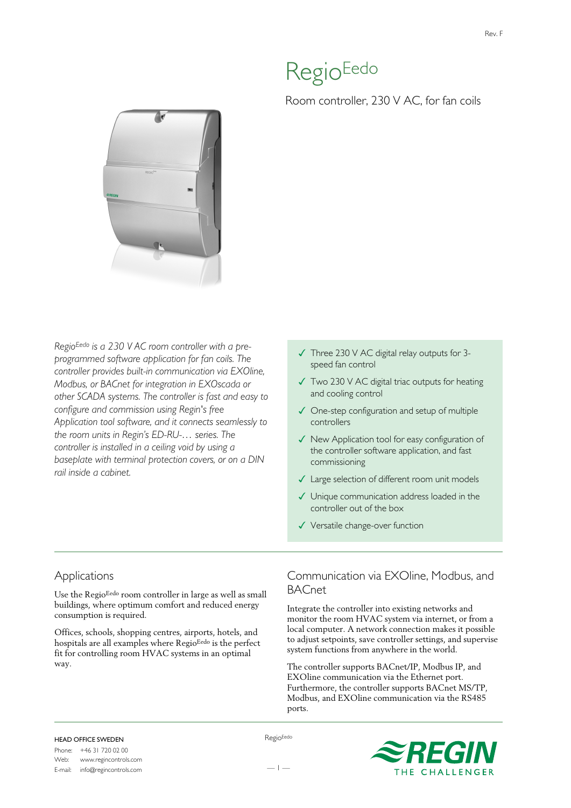# **Regio**Eedo

Room controller, 230 V AC, for fan coils



*RegioEedo is a 230 V AC room controller with a preprogrammed software application for fan coils. The controller provides built-in communication via EXOline, Modbus, or BACnet for integration in EXOscada or other SCADA systems. The controller is fast and easy to configure and commission using Regin's free Application tool software, and it connects seamlessly to the room units in Regin's ED-RU-… series. The controller is installed in a ceiling void by using a baseplate with terminal protection covers, or on a DIN rail inside a cabinet.*

- ✓ Three 230 V AC digital relay outputs for 3 speed fan control
- ✓ Two 230 V AC digital triac outputs for heating and cooling control
- ✓ One-step configuration and setup of multiple controllers
- ✓ New Application tool for easy configuration of the controller software application, and fast commissioning
- ✓ Large selection of different room unit models
- ✓ Unique communication address loaded in the controller out of the box
- ✓ Versatile change-over function

# Applications

Use the RegioEedo room controller in large as well as small buildings, where optimum comfort and reduced energy consumption is required.

Offices, schools, shopping centres, airports, hotels, and hospitals are all examples where RegioEedo is the perfect fit for controlling room HVAC systems in an optimal way.

# Communication via EXOline, Modbus, and **BACnet**

Integrate the controller into existing networks and monitor the room HVAC system via internet, or from a local computer. A network connection makes it possible to adjust setpoints, save controller settings, and supervise system functions from anywhere in the world.

The controller supports BACnet/IP, Modbus IP, and EXOline communication via the Ethernet port. Furthermore, the controller supports BACnet MS/TP, Modbus, and EXOline communication via the RS485 ports.

#### HEAD OFFICE SWEDEN

Phone: +46 31 720 02 00<br>Web: www.regincontrols www.regincontrols.com E-mail: info@regincontrols.com RegioEedo



— 1 —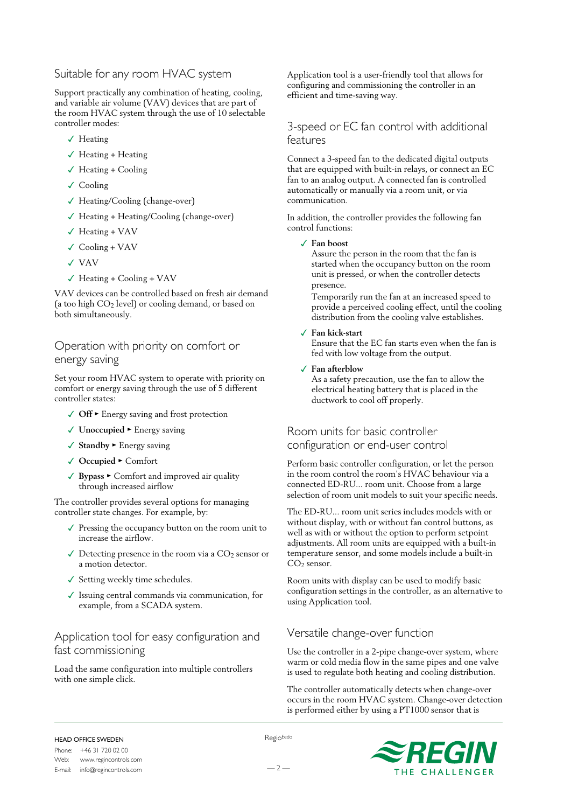### Suitable for any room HVAC system

Support practically any combination of heating, cooling, and variable air volume (VAV) devices that are part of the room HVAC system through the use of 10 selectable controller modes:

- ✓ Heating
- ✓ Heating + Heating
- $\checkmark$  Heating + Cooling
- ✓ Cooling
- ✓ Heating/Cooling (change-over)
- ✓ Heating + Heating/Cooling (change-over)
- ✓ Heating + VAV
- $\checkmark$  Cooling + VAV
- ✓ VAV
- $\checkmark$  Heating + Cooling + VAV

VAV devices can be controlled based on fresh air demand (a too high CO<sub>2</sub> level) or cooling demand, or based on both simultaneously.

# Operation with priority on comfort or energy saving

Set your room HVAC system to operate with priority on comfort or energy saving through the use of 5 different controller states:

- ✓ **Off** ► Energy saving and frost protection
- ✓ **Unoccupied** ► Energy saving
- ✓ **Standby** ► Energy saving
- ✓ **Occupied** ► Comfort
- ✓ **Bypass** ► Comfort and improved air quality through increased airflow

The controller provides several options for managing controller state changes. For example, by:

- ✓ Pressing the occupancy button on the room unit to increase the airflow.
- $\sqrt{\phantom{a}}$  Detecting presence in the room via a CO<sub>2</sub> sensor or a motion detector.
- ✓ Setting weekly time schedules.
- ✓ Issuing central commands via communication, for example, from a SCADA system.

# Application tool for easy configuration and fast commissioning

Load the same configuration into multiple controllers with one simple click.

Application tool is a user-friendly tool that allows for configuring and commissioning the controller in an efficient and time-saving way.

### 3-speed or EC fan control with additional features

Connect a 3-speed fan to the dedicated digital outputs that are equipped with built-in relays, or connect an EC fan to an analog output. A connected fan is controlled automatically or manually via a room unit, or via communication.

In addition, the controller provides the following fan control functions:

✓ **Fan boost**

Assure the person in the room that the fan is started when the occupancy button on the room unit is pressed, or when the controller detects presence.

Temporarily run the fan at an increased speed to provide a perceived cooling effect, until the cooling distribution from the cooling valve establishes.

✓ **Fan kick-start**

Ensure that the EC fan starts even when the fan is fed with low voltage from the output.

✓ **Fan afterblow**

As a safety precaution, use the fan to allow the electrical heating battery that is placed in the ductwork to cool off properly.

### Room units for basic controller configuration or end-user control

Perform basic controller configuration, or let the person in the room control the room's HVAC behaviour via a connected ED-RU... room unit. Choose from a large selection of room unit models to suit your specific needs.

The ED-RU... room unit series includes models with or without display, with or without fan control buttons, as well as with or without the option to perform setpoint adjustments. All room units are equipped with a built-in temperature sensor, and some models include a built-in CO2 sensor.

Room units with display can be used to modify basic configuration settings in the controller, as an alternative to using Application tool.

### Versatile change-over function

Use the controller in a 2-pipe change-over system, where warm or cold media flow in the same pipes and one valve is used to regulate both heating and cooling distribution.

The controller automatically detects when change-over occurs in the room HVAC system. Change-over detection is performed either by using a PT1000 sensor that is

#### HEAD OFFICE SWEDEN

Phone: +46 31 720 02 00<br>Web: www.regincontrols Web: www.regincontrols.com E-mail: info@regincontrols.com **Regio**Eedo

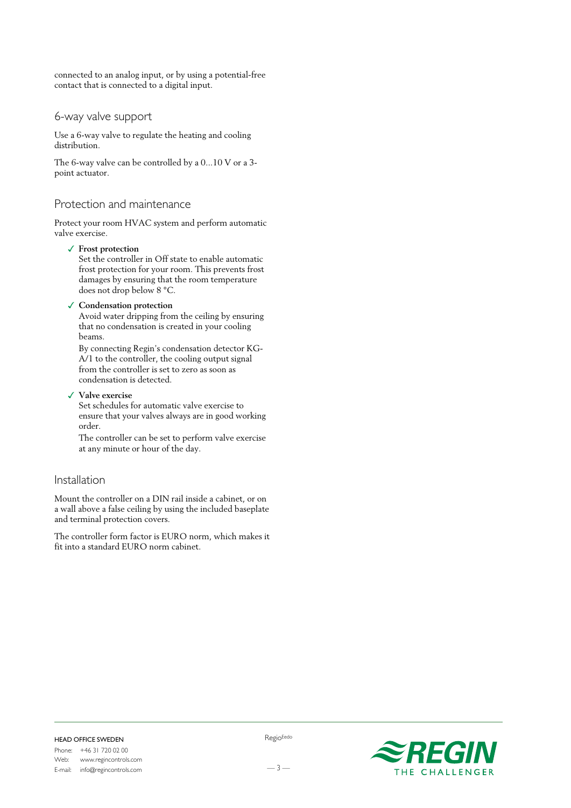connected to an analog input, or by using a potential-free contact that is connected to a digital input.

### 6-way valve support

Use a 6-way valve to regulate the heating and cooling distribution.

The 6-way valve can be controlled by a 0...10 V or a 3 point actuator.

### Protection and maintenance

Protect your room HVAC system and perform automatic valve exercise.

✓ **Frost protection**

Set the controller in Off state to enable automatic frost protection for your room. This prevents frost damages by ensuring that the room temperature does not drop below 8 °C.

#### ✓ **Condensation protection**

Avoid water dripping from the ceiling by ensuring that no condensation is created in your cooling beams.

By connecting Regin's condensation detector KG-A/1 to the controller, the cooling output signal from the controller is set to zero as soon as condensation is detected.

✓ **Valve exercise**

Set schedules for automatic valve exercise to ensure that your valves always are in good working order.

The controller can be set to perform valve exercise at any minute or hour of the day.

### Installation

Mount the controller on a DIN rail inside a cabinet, or on a wall above a false ceiling by using the included baseplate and terminal protection covers.

The controller form factor is EURO norm, which makes it fit into a standard EURO norm cabinet.



Phone: +46 31 720 02 00<br>Web: www.regincontrols www.regincontrols.com E-mail: info@regincontrols.com **Regio**Eedo

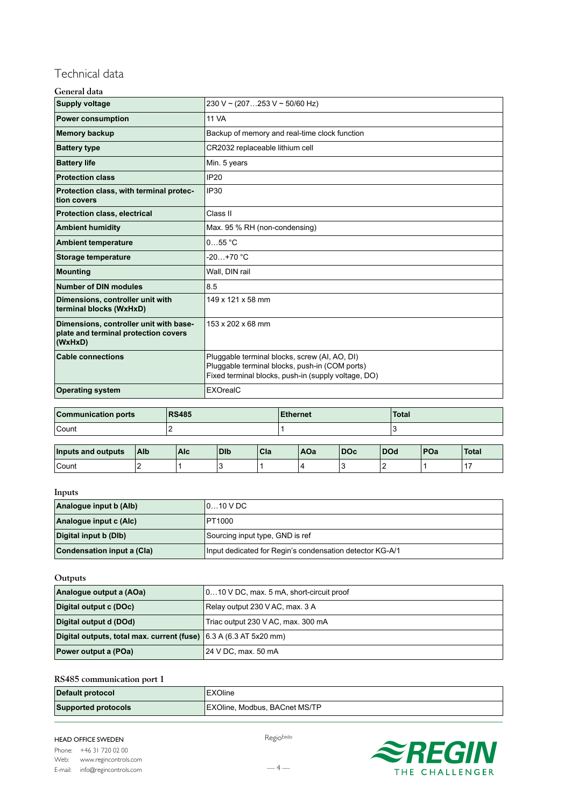# Technical data

| General data                                                                              |                                                                                                                                                        |
|-------------------------------------------------------------------------------------------|--------------------------------------------------------------------------------------------------------------------------------------------------------|
| <b>Supply voltage</b>                                                                     | 230 V ~ (207253 V ~ 50/60 Hz)                                                                                                                          |
| <b>Power consumption</b>                                                                  | <b>11 VA</b>                                                                                                                                           |
| <b>Memory backup</b>                                                                      | Backup of memory and real-time clock function                                                                                                          |
| <b>Battery type</b>                                                                       | CR2032 replaceable lithium cell                                                                                                                        |
| <b>Battery life</b>                                                                       | Min. 5 years                                                                                                                                           |
| <b>Protection class</b>                                                                   | <b>IP20</b>                                                                                                                                            |
| Protection class, with terminal protec-<br>tion covers                                    | IP30                                                                                                                                                   |
| <b>Protection class, electrical</b>                                                       | Class II                                                                                                                                               |
| <b>Ambient humidity</b>                                                                   | Max. 95 % RH (non-condensing)                                                                                                                          |
| <b>Ambient temperature</b>                                                                | $055$ °C                                                                                                                                               |
| Storage temperature                                                                       | $-20 + 70 °C$                                                                                                                                          |
| <b>Mounting</b>                                                                           | Wall, DIN rail                                                                                                                                         |
| <b>Number of DIN modules</b>                                                              | 8.5                                                                                                                                                    |
| Dimensions, controller unit with<br>terminal blocks (WxHxD)                               | 149 x 121 x 58 mm                                                                                                                                      |
| Dimensions, controller unit with base-<br>plate and terminal protection covers<br>(WxHxD) | 153 x 202 x 68 mm                                                                                                                                      |
| <b>Cable connections</b>                                                                  | Pluggable terminal blocks, screw (AI, AO, DI)<br>Pluggable terminal blocks, push-in (COM ports)<br>Fixed terminal blocks, push-in (supply voltage, DO) |
| <b>Operating system</b>                                                                   | EXOrealC                                                                                                                                               |

| <b>Communication ports</b> | <b>RS485</b> | <b>Ethernet</b> | <b>Total</b> |
|----------------------------|--------------|-----------------|--------------|
| Count                      |              |                 |              |

| Inputs and outputs | Alb | <b>AIC</b> | <b>DI</b> b | Cla | AOa | <b>DOc</b> | <b>DOd</b> | <b>POa</b> | <b>Total</b> |
|--------------------|-----|------------|-------------|-----|-----|------------|------------|------------|--------------|
| Count              |     |            |             |     |     |            |            |            |              |

### **Inputs**

| Analogue input b (Alb)     | $010$ V DC                                               |
|----------------------------|----------------------------------------------------------|
| Analogue input c (Alc)     | IPT1000                                                  |
| Digital input b (DIb)      | Sourcing input type, GND is ref                          |
| Condensation input a (Cla) | Input dedicated for Regin's condensation detector KG-A/1 |

### **Outputs**

| Analogue output a (AOa)                                           | 010 V DC, max. 5 mA, short-circuit proof |
|-------------------------------------------------------------------|------------------------------------------|
| Digital output c (DOc)                                            | Relay output 230 V AC, max. 3 A          |
| Digital output d (DOd)                                            | Triac output 230 V AC, max. 300 mA       |
| Digital outputs, total max. current (fuse) 6.3 A (6.3 AT 5x20 mm) |                                          |
| Power output a (POa)                                              | 24 V DC, max. 50 mA                      |

### **RS485 communication port 1**

| <b>Default protocol</b>    | <b>EXOline</b>                       |
|----------------------------|--------------------------------------|
| <b>Supported protocols</b> | <b>EXOline, Modbus, BACnet MS/TP</b> |

Phone: +46 31 720 02 00 Web: www.regincontrols.com E-mail: info@regincontrols.com

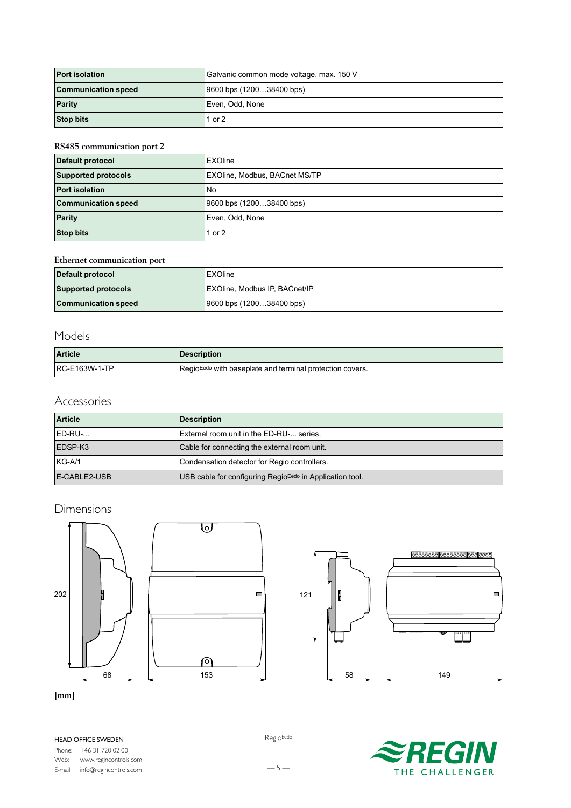| <b>Port isolation</b>      | Galvanic common mode voltage, max. 150 V |
|----------------------------|------------------------------------------|
| <b>Communication speed</b> | 9600 bps (120038400 bps)                 |
| Parity                     | Even, Odd, None                          |
| <b>Stop bits</b>           | 1 or 2                                   |

### **RS485 communication port 2**

| <b>Default protocol</b>    | <b>EXOline</b>                |
|----------------------------|-------------------------------|
| <b>Supported protocols</b> | EXOline, Modbus, BACnet MS/TP |
| <b>Port isolation</b>      | No.                           |
| <b>Communication speed</b> | 9600 bps (120038400 bps)      |
| <b>Parity</b>              | Even, Odd, None               |
| <b>Stop bits</b>           | $1$ or $2$                    |

### **Ethernet communication port**

| Default protocol           | <b>EXOline</b>                       |
|----------------------------|--------------------------------------|
| <b>Supported protocols</b> | <b>EXOline, Modbus IP, BACnet/IP</b> |
| <b>Communication speed</b> | 9600 bps (120038400 bps)             |

# Models

| <b>Article</b>       | <b>Description</b>                                                   |
|----------------------|----------------------------------------------------------------------|
| <b>RC-E163W-1-TP</b> | Regio <sup>Eedo</sup> with baseplate and terminal protection covers. |

### Accessories

| <b>Article</b> | <b>Description</b>                                                   |
|----------------|----------------------------------------------------------------------|
| IED-RU-        | External room unit in the ED-RU- series.                             |
| EDSP-K3        | Cable for connecting the external room unit.                         |
| $KG-A/1$       | Condensation detector for Regio controllers.                         |
| E-CABLE2-USB   | USB cable for configuring Regio <sup>Eedo</sup> in Application tool. |

# Dimensions



**[mm]**

# HEAD OFFICE SWEDEN

Phone: +46 31 720 02 00 Web: www.regincontrols.com E-mail: info@regincontrols.com

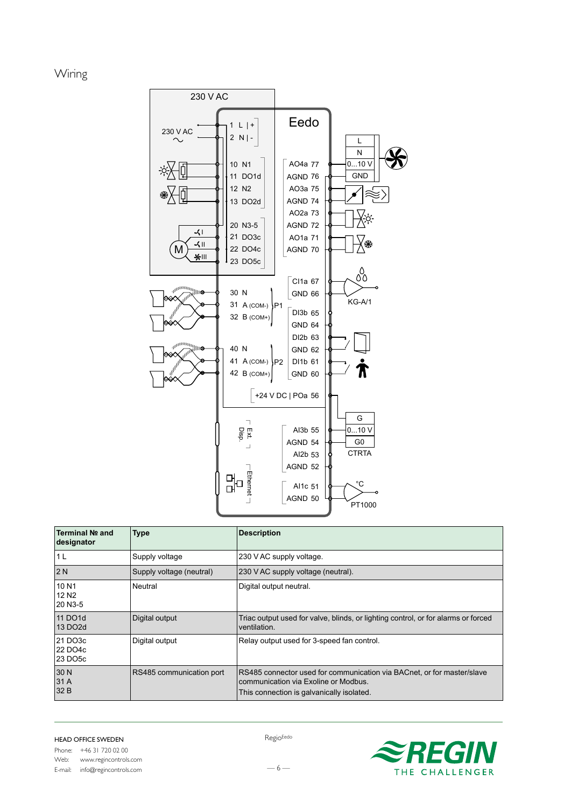# Wiring



| Terminal № and<br>designator                                  | <b>Type</b>              | <b>Description</b>                                                                                                                                          |
|---------------------------------------------------------------|--------------------------|-------------------------------------------------------------------------------------------------------------------------------------------------------------|
| 1 <sub>L</sub>                                                | Supply voltage           | 230 V AC supply voltage.                                                                                                                                    |
| 2 N                                                           | Supply voltage (neutral) | 230 V AC supply voltage (neutral).                                                                                                                          |
| 10 <sub>N1</sub><br>12 N <sub>2</sub><br>20 N <sub>3</sub> -5 | Neutral                  | Digital output neutral.                                                                                                                                     |
| 11 DO1d<br>13 DO <sub>2</sub> d                               | Digital output           | Triac output used for valve, blinds, or lighting control, or for alarms or forced<br>ventilation.                                                           |
| 21 DO3c<br>22 DO <sub>4</sub> c<br>23 DO <sub>5</sub> c       | Digital output           | Relay output used for 3-speed fan control.                                                                                                                  |
| 30 N<br>31A<br>32 B                                           | RS485 communication port | RS485 connector used for communication via BACnet, or for master/slave<br>communication via Exoline or Modbus.<br>This connection is galvanically isolated. |

### HEAD OFFICE SWEDEN

Phone: +46 31 720 02 00<br>Web: www.regincontrols. www.regincontrols.com E-mail: info@regincontrols.com

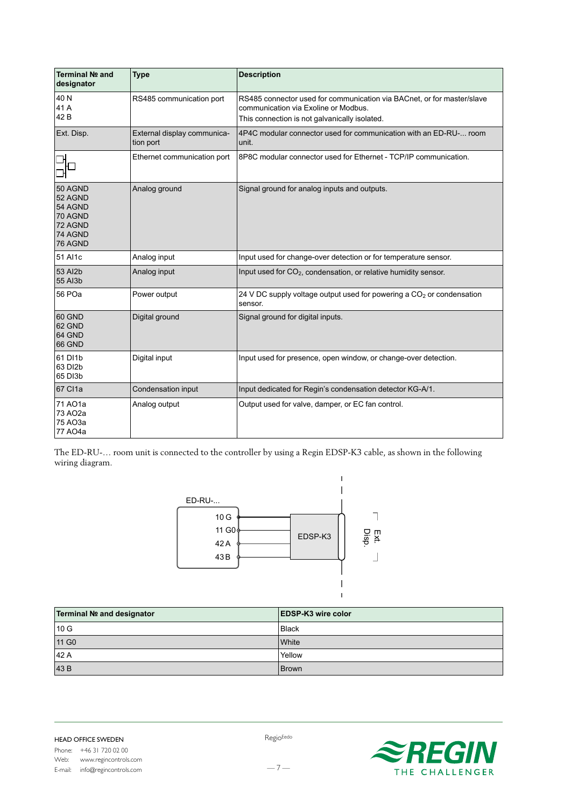| Terminal Nº and<br>designator                                             | <b>Type</b>                              | <b>Description</b>                                                                                                                                              |
|---------------------------------------------------------------------------|------------------------------------------|-----------------------------------------------------------------------------------------------------------------------------------------------------------------|
| 40N<br>41 A<br>42B                                                        | RS485 communication port                 | RS485 connector used for communication via BACnet, or for master/slave<br>communication via Exoline or Modbus.<br>This connection is not galvanically isolated. |
| Ext. Disp.                                                                | External display communica-<br>tion port | 4P4C modular connector used for communication with an ED-RU- room<br>unit.                                                                                      |
|                                                                           | Ethernet communication port              | 8P8C modular connector used for Ethernet - TCP/IP communication.                                                                                                |
| 50 AGND<br>52 AGND<br>54 AGND<br>70 AGND<br>72 AGND<br>74 AGND<br>76 AGND | Analog ground                            | Signal ground for analog inputs and outputs.                                                                                                                    |
| 51 AI1c                                                                   | Analog input                             | Input used for change-over detection or for temperature sensor.                                                                                                 |
| 53 AI2b<br>55 AI3b                                                        | Analog input                             | Input used for CO <sub>2</sub> , condensation, or relative humidity sensor.                                                                                     |
| 56 POa                                                                    | Power output                             | 24 V DC supply voltage output used for powering a CO <sub>2</sub> or condensation<br>sensor.                                                                    |
| 60 GND<br>62 GND<br>64 GND<br>66 GND                                      | Digital ground                           | Signal ground for digital inputs.                                                                                                                               |
| 61 DI1b<br>63 DI2b<br>65 DI3b                                             | Digital input                            | Input used for presence, open window, or change-over detection.                                                                                                 |
| 67 Cl1a                                                                   | Condensation input                       | Input dedicated for Regin's condensation detector KG-A/1.                                                                                                       |
| 71 AO1a<br>73 AO2a<br>75 AO3a<br>77 AO4a                                  | Analog output                            | Output used for valve, damper, or EC fan control.                                                                                                               |

The ED-RU-… room unit is connected to the controller by using a Regin EDSP-K3 cable, as shown in the following wiring diagram.



| Terminal № and designator | <b>EDSP-K3 wire color</b> |
|---------------------------|---------------------------|
| 10 G                      | <b>Black</b>              |
| 11 G <sub>0</sub>         | White                     |
| 42 A                      | Yellow                    |
| 43B                       | <b>Brown</b>              |

**Regio**<sub>Eedo</sub>



 $-7-$